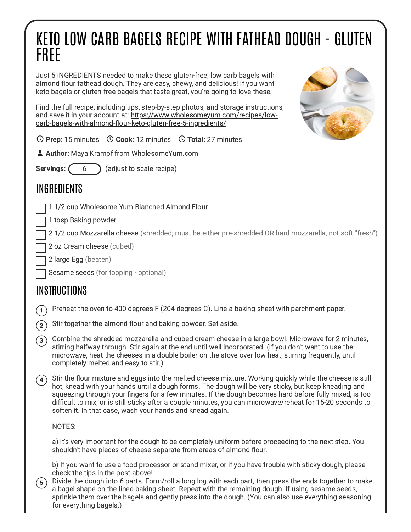## KETO LOW CARB BAGELS RECIPE WITH FATHEAD DOUGH - GLUTEN FREE

Just 5 INGREDIENTS needed to make these gluten-free, low carb bagels with almond flour fathead dough. They are easy, chewy, and delicious! If you want keto bagels or gluten-free bagels that taste great, you're going to love these.

Find the full recipe, including tips, step-by-step photos, and storage instructions, and save it in your account at: https://www.wholesomeyum.com/recipes/low[carb-bagels-with-almond-flour-keto-gluten-free-5-ingredients/](https://www.wholesomeyum.com/recipes/low-carb-bagels-with-almond-flour-keto-gluten-free-5-ingredients/)



**① Prep:** 15 minutes **① Cook:** 12 minutes **① Total:** 27 minutes

**Author:** Maya Krampf from WholesomeYum.com

**Servings:**  $(6)$  (adjust to scale recipe)

## INGREDIENTS

1 1/2 cup Wholesome Yum Blanched Almond Flour

1 tbsp Baking powder

21/2 cup Mozzarella cheese (shredded: must be either pre-shredded OR hard mozzarella, not soft "fresh")

2 oz Cream cheese (cubed)

2 large Egg (beaten)

Sesame seeds (for topping - optional)

## INSTRUCTIONS

 $\widehat{1)}$  Preheat the oven to 400 degrees F (204 degrees C). Line a baking sheet with parchment paper.

 $\widehat{c_2}$  Stir together the almond flour and baking powder. Set aside.

Combine the shredded mozzarella and cubed cream cheese in a large bowl. Microwave for 2 minutes, stirring halfway through. Stir again at the end until well incorporated. (If you don't want to use the microwave, heat the cheeses in a double boiler on the stove over low heat, stirring frequently, until completely melted and easy to stir.)  $\odot$ 

Stir the flour mixture and eggs into the melted cheese mixture. Working quickly while the cheese is still hot, knead with your hands until a dough forms. The dough will be very sticky, but keep kneading and squeezing through your fingers for a few minutes. If the dough becomes hard before fully mixed, is too difficult to mix, or is still sticky after a couple minutes, you can microwave/reheat for 15-20 seconds to soften it. In that case, wash your hands and knead again.  $(4)$ 

NOTES:

a) It's very important for the dough to be completely uniform before proceeding to the next step. You shouldn't have pieces of cheese separate from areas of almond flour.

b) If you want to use a food processor or stand mixer, or if you have trouble with sticky dough, please check the tips in the post above!

Divide the dough into 6 parts. Form/roll a long log with each part, then press the ends together to make a bagel shape on the lined baking sheet. Repeat with the remaining dough. If using sesame seeds, sprinkle them over the bagels and gently press into the dough. (You can also use [everything](https://assoc-redirect.amazon.com/g/r/https://amzn.to/3wbIkED) seasoning for everything bagels.)  $(5)$